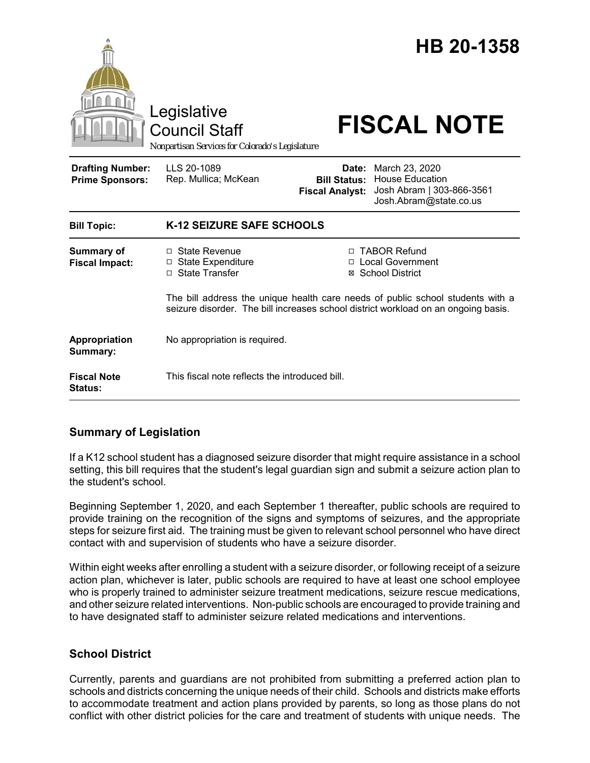

## **Summary of Legislation**

If a K12 school student has a diagnosed seizure disorder that might require assistance in a school setting, this bill requires that the student's legal guardian sign and submit a seizure action plan to the student's school.

Beginning September 1, 2020, and each September 1 thereafter, public schools are required to provide training on the recognition of the signs and symptoms of seizures, and the appropriate steps for seizure first aid. The training must be given to relevant school personnel who have direct contact with and supervision of students who have a seizure disorder.

Within eight weeks after enrolling a student with a seizure disorder, or following receipt of a seizure action plan, whichever is later, public schools are required to have at least one school employee who is properly trained to administer seizure treatment medications, seizure rescue medications, and other seizure related interventions. Non-public schools are encouraged to provide training and to have designated staff to administer seizure related medications and interventions.

## **School District**

Currently, parents and guardians are not prohibited from submitting a preferred action plan to schools and districts concerning the unique needs of their child. Schools and districts make efforts to accommodate treatment and action plans provided by parents, so long as those plans do not conflict with other district policies for the care and treatment of students with unique needs. The